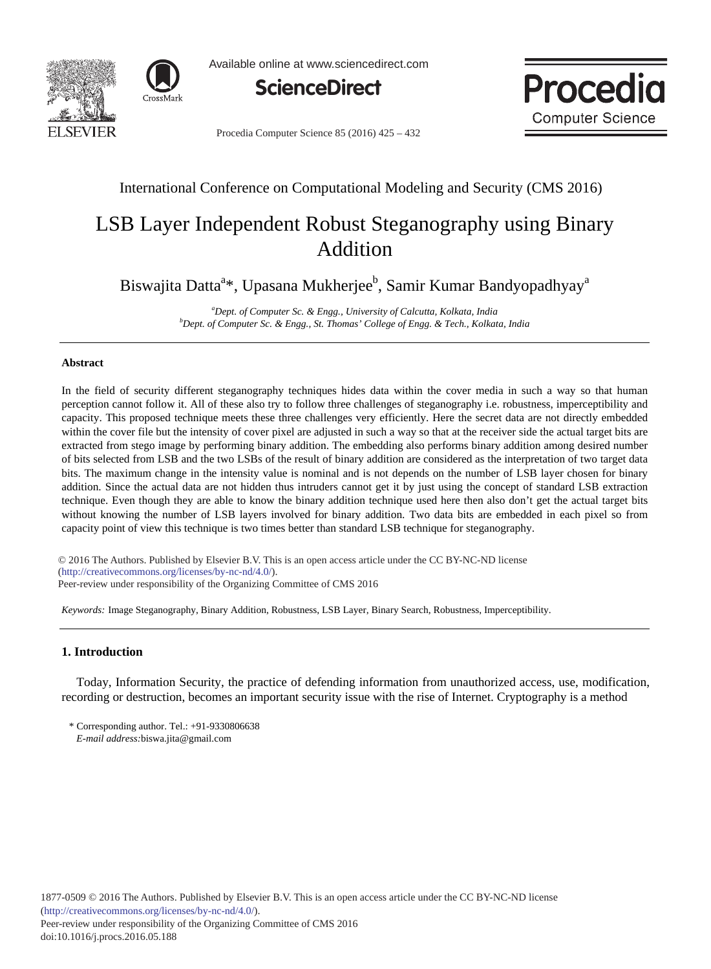



Available online at www.sciencedirect.com





Procedia Computer Science 85 (2016) 425 - 432

# International Conference on Computational Modeling and Security (CMS 2016)

# LSB Layer Independent Robust Steganography using Binary Addition

Biswajita Datta<sup>a\*</sup>, Upasana Mukherjee<sup>b</sup>, Samir Kumar Bandyopadhyay<sup>a</sup>

<sup>a</sup> Dept. of Computer Sc. & Engg., University of Calcutta, Kolkata, India *b* Dept. of Computer Sc. & Engg. St. Thomas' College of Engg. & Tech. Kolkat *Dept. of Computer Sc. & Engg., St. Thomas' College of Engg. & Tech., Kolkata, India* 

#### **Abstract**

In the field of security different steganography techniques hides data within the cover media in such a way so that human perception cannot follow it. All of these also try to follow three challenges of steganography i.e. robustness, imperceptibility and capacity. This proposed technique meets these three challenges very efficiently. Here the secret data are not directly embedded within the cover file but the intensity of cover pixel are adjusted in such a way so that at the receiver side the actual target bits are extracted from stego image by performing binary addition. The embedding also performs binary addition among desired number of bits selected from LSB and the two LSBs of the result of binary addition are considered as the interpretation of two target data bits. The maximum change in the intensity value is nominal and is not depends on the number of LSB layer chosen for binary addition. Since the actual data are not hidden thus intruders cannot get it by just using the concept of standard LSB extraction technique. Even though they are able to know the binary addition technique used here then also don't get the actual target bits without knowing the number of LSB layers involved for binary addition. Two data bits are embedded in each pixel so from capacity point of view this technique is two times better than standard LSB technique for steganography.

© 2015 The Authors. Published by Elsevier B.V. © 2016 The Authors. Published by Elsevier B.V. This is an open access article under the CC BY-NC-ND license (http://creativecommons.org/licenses/by-nc-nd/4.0/). Peer-review under responsibility of the Organizing Committee of CMS 2016

*Keywords:* Image Steganography, Binary Addition, Robustness, LSB Layer, Binary Search, Robustness, Imperceptibility.

## **1. Introduction**

Today, Information Security, the practice of defending information from unauthorized access, use, modification, recording or destruction, becomes an important security issue with the rise of Internet. Cryptography is a method

\* Corresponding author. Tel.: +91-9330806638 *E-mail address:*biswa.jita@gmail.com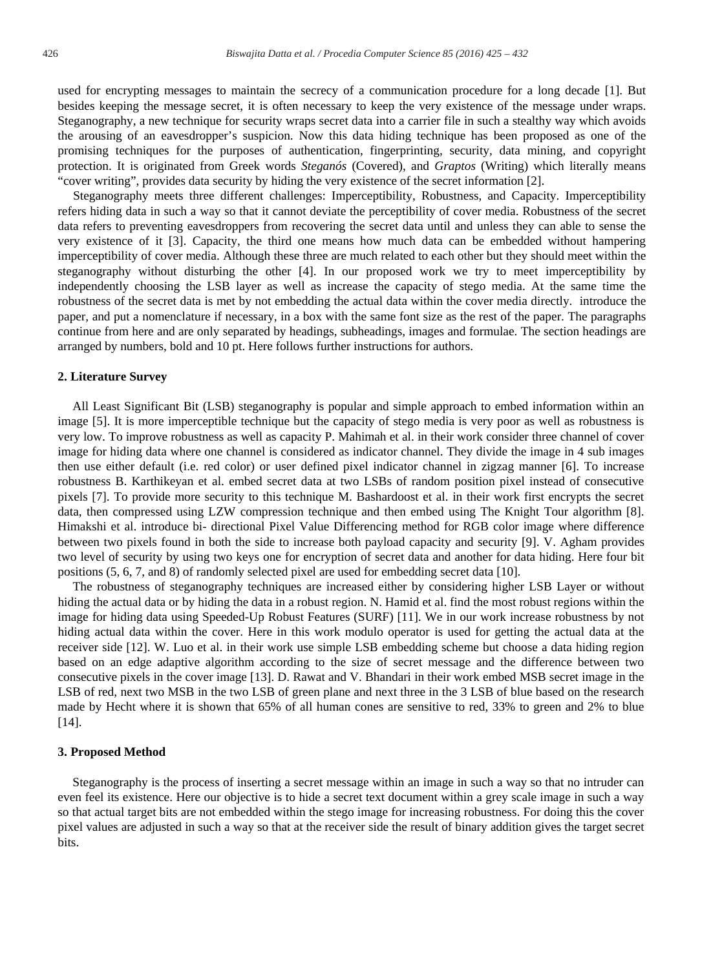used for encrypting messages to maintain the secrecy of a communication procedure for a long decade [1]. But besides keeping the message secret, it is often necessary to keep the very existence of the message under wraps. Steganography, a new technique for security wraps secret data into a carrier file in such a stealthy way which avoids the arousing of an eavesdropper's suspicion. Now this data hiding technique has been proposed as one of the promising techniques for the purposes of authentication, fingerprinting, security, data mining, and copyright protection. It is originated from Greek words *Steganós* (Covered), and *Graptos* (Writing) which literally means "cover writing", provides data security by hiding the very existence of the secret information [2].

Steganography meets three different challenges: Imperceptibility, Robustness, and Capacity. Imperceptibility refers hiding data in such a way so that it cannot deviate the perceptibility of cover media. Robustness of the secret data refers to preventing eavesdroppers from recovering the secret data until and unless they can able to sense the very existence of it [3]. Capacity, the third one means how much data can be embedded without hampering imperceptibility of cover media. Although these three are much related to each other but they should meet within the steganography without disturbing the other [4]. In our proposed work we try to meet imperceptibility by independently choosing the LSB layer as well as increase the capacity of stego media. At the same time the robustness of the secret data is met by not embedding the actual data within the cover media directly. introduce the paper, and put a nomenclature if necessary, in a box with the same font size as the rest of the paper. The paragraphs continue from here and are only separated by headings, subheadings, images and formulae. The section headings are arranged by numbers, bold and 10 pt. Here follows further instructions for authors.

#### **2. Literature Survey**

All Least Significant Bit (LSB) steganography is popular and simple approach to embed information within an image [5]. It is more imperceptible technique but the capacity of stego media is very poor as well as robustness is very low. To improve robustness as well as capacity P. Mahimah et al. in their work consider three channel of cover image for hiding data where one channel is considered as indicator channel. They divide the image in 4 sub images then use either default (i.e. red color) or user defined pixel indicator channel in zigzag manner [6]. To increase robustness B. Karthikeyan et al. embed secret data at two LSBs of random position pixel instead of consecutive pixels [7]. To provide more security to this technique M. Bashardoost et al. in their work first encrypts the secret data, then compressed using LZW compression technique and then embed using The Knight Tour algorithm [8]. Himakshi et al. introduce bi- directional Pixel Value Differencing method for RGB color image where difference between two pixels found in both the side to increase both payload capacity and security [9]. V. Agham provides two level of security by using two keys one for encryption of secret data and another for data hiding. Here four bit positions (5, 6, 7, and 8) of randomly selected pixel are used for embedding secret data [10].

The robustness of steganography techniques are increased either by considering higher LSB Layer or without hiding the actual data or by hiding the data in a robust region. N. Hamid et al. find the most robust regions within the image for hiding data using Speeded-Up Robust Features (SURF) [11]. We in our work increase robustness by not hiding actual data within the cover. Here in this work modulo operator is used for getting the actual data at the receiver side [12]. W. Luo et al. in their work use simple LSB embedding scheme but choose a data hiding region based on an edge adaptive algorithm according to the size of secret message and the difference between two consecutive pixels in the cover image [13]. D. Rawat and V. Bhandari in their work embed MSB secret image in the LSB of red, next two MSB in the two LSB of green plane and next three in the 3 LSB of blue based on the research made by Hecht where it is shown that 65% of all human cones are sensitive to red, 33% to green and 2% to blue [14].

#### **3. Proposed Method**

Steganography is the process of inserting a secret message within an image in such a way so that no intruder can even feel its existence. Here our objective is to hide a secret text document within a grey scale image in such a way so that actual target bits are not embedded within the stego image for increasing robustness. For doing this the cover pixel values are adjusted in such a way so that at the receiver side the result of binary addition gives the target secret bits.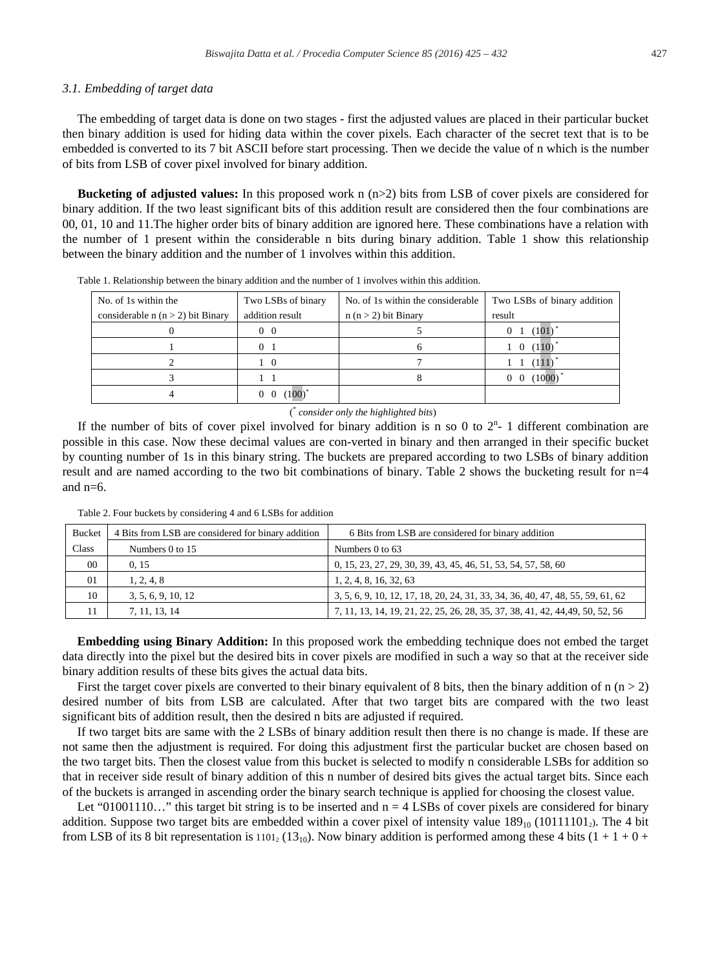#### *3.1. Embedding of target data*

The embedding of target data is done on two stages - first the adjusted values are placed in their particular bucket then binary addition is used for hiding data within the cover pixels. Each character of the secret text that is to be embedded is converted to its 7 bit ASCII before start processing. Then we decide the value of n which is the number of bits from LSB of cover pixel involved for binary addition.

**Bucketing of adjusted values:** In this proposed work n (n>2) bits from LSB of cover pixels are considered for binary addition. If the two least significant bits of this addition result are considered then the four combinations are 00, 01, 10 and 11.The higher order bits of binary addition are ignored here. These combinations have a relation with the number of 1 present within the considerable n bits during binary addition. Table 1 show this relationship between the binary addition and the number of 1 involves within this addition.

| No. of 1s within the                | Two LSBs of binary | No. of 1s within the considerable | Two LSBs of binary addition    |
|-------------------------------------|--------------------|-----------------------------------|--------------------------------|
| considerable $n (n > 2)$ bit Binary | addition result    | $n (n > 2)$ bit Binary            | result                         |
|                                     | $0\quad 0$         |                                   | (101)<br>0                     |
|                                     |                    |                                   | (110)<br>$\overline{0}$        |
|                                     |                    |                                   |                                |
|                                     |                    |                                   | (1000)<br>$\Omega$<br>$^{(1)}$ |
|                                     |                    |                                   |                                |

Table 1. Relationship between the binary addition and the number of 1 involves within this addition.

( \* *consider only the highlighted bits*)

If the number of bits of cover pixel involved for binary addition is n so 0 to  $2<sup>n</sup>$ - 1 different combination are possible in this case. Now these decimal values are con-verted in binary and then arranged in their specific bucket by counting number of 1s in this binary string. The buckets are prepared according to two LSBs of binary addition result and are named according to the two bit combinations of binary. Table 2 shows the bucketing result for n=4 and  $n=6$ .

Table 2. Four buckets by considering 4 and 6 LSBs for addition

| Bucket | 4 Bits from LSB are considered for binary addition | 6 Bits from LSB are considered for binary addition                             |
|--------|----------------------------------------------------|--------------------------------------------------------------------------------|
| Class  | Numbers 0 to 15                                    | Numbers 0 to 63                                                                |
| 00     | 0.15                                               | 0, 15, 23, 27, 29, 30, 39, 43, 45, 46, 51, 53, 54, 57, 58, 60                  |
| 01     | 1, 2, 4, 8                                         | 1, 2, 4, 8, 16, 32, 63                                                         |
| 10     | 3, 5, 6, 9, 10, 12                                 | 3, 5, 6, 9, 10, 12, 17, 18, 20, 24, 31, 33, 34, 36, 40, 47, 48, 55, 59, 61, 62 |
|        | 7, 11, 13, 14                                      | 7, 11, 13, 14, 19, 21, 22, 25, 26, 28, 35, 37, 38, 41, 42, 44, 49, 50, 52, 56  |

**Embedding using Binary Addition:** In this proposed work the embedding technique does not embed the target data directly into the pixel but the desired bits in cover pixels are modified in such a way so that at the receiver side binary addition results of these bits gives the actual data bits.

First the target cover pixels are converted to their binary equivalent of 8 bits, then the binary addition of n (n  $>$  2) desired number of bits from LSB are calculated. After that two target bits are compared with the two least significant bits of addition result, then the desired n bits are adjusted if required.

If two target bits are same with the 2 LSBs of binary addition result then there is no change is made. If these are not same then the adjustment is required. For doing this adjustment first the particular bucket are chosen based on the two target bits. Then the closest value from this bucket is selected to modify n considerable LSBs for addition so that in receiver side result of binary addition of this n number of desired bits gives the actual target bits. Since each of the buckets is arranged in ascending order the binary search technique is applied for choosing the closest value.

Let "01001110..." this target bit string is to be inserted and  $n = 4$  LSBs of cover pixels are considered for binary addition. Suppose two target bits are embedded within a cover pixel of intensity value  $189_{10}$  (10111101<sub>2</sub>). The 4 bit from LSB of its 8 bit representation is  $1101<sub>2</sub> (13<sub>10</sub>)$ . Now binary addition is performed among these 4 bits  $(1 + 1 + 0 + 1)$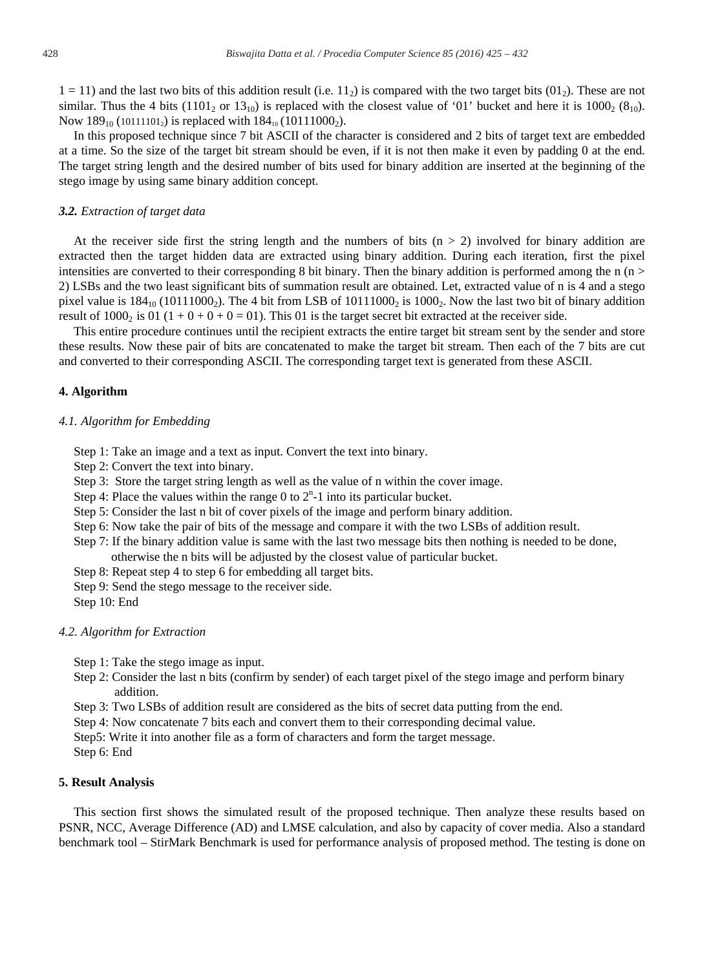$1 = 11$ ) and the last two bits of this addition result (i.e.  $11<sub>2</sub>$ ) is compared with the two target bits (01<sub>2</sub>). These are not similar. Thus the 4 bits (1101<sub>2</sub> or 13<sub>10</sub>) is replaced with the closest value of '01' bucket and here it is 1000<sub>2</sub> (8<sub>10</sub>). Now  $189_{10}$  (10111101<sub>2</sub>) is replaced with  $184_{10}$  (10111000<sub>2</sub>).

In this proposed technique since 7 bit ASCII of the character is considered and 2 bits of target text are embedded at a time. So the size of the target bit stream should be even, if it is not then make it even by padding 0 at the end. The target string length and the desired number of bits used for binary addition are inserted at the beginning of the stego image by using same binary addition concept.

#### *3.2. Extraction of target data*

At the receiver side first the string length and the numbers of bits  $(n > 2)$  involved for binary addition are extracted then the target hidden data are extracted using binary addition. During each iteration, first the pixel intensities are converted to their corresponding 8 bit binary. Then the binary addition is performed among the  $n$  ( $n >$ 2) LSBs and the two least significant bits of summation result are obtained. Let, extracted value of n is 4 and a stego pixel value is  $184_{10}$  (10111000<sub>2</sub>). The 4 bit from LSB of 10111000<sub>2</sub> is 1000<sub>2</sub>. Now the last two bit of binary addition result of  $1000<sub>2</sub>$  is 01 (1 + 0 + 0 + 0 = 01). This 01 is the target secret bit extracted at the receiver side.

This entire procedure continues until the recipient extracts the entire target bit stream sent by the sender and store these results. Now these pair of bits are concatenated to make the target bit stream. Then each of the 7 bits are cut and converted to their corresponding ASCII. The corresponding target text is generated from these ASCII.

# **4. Algorithm**

#### *4.1. Algorithm for Embedding*

Step 1: Take an image and a text as input. Convert the text into binary.

Step 2: Convert the text into binary.

Step 3: Store the target string length as well as the value of n within the cover image.

Step 4: Place the values within the range 0 to  $2<sup>n</sup>$ -1 into its particular bucket.

Step 5: Consider the last n bit of cover pixels of the image and perform binary addition.

Step 6: Now take the pair of bits of the message and compare it with the two LSBs of addition result.

Step 7: If the binary addition value is same with the last two message bits then nothing is needed to be done,

otherwise the n bits will be adjusted by the closest value of particular bucket.

Step 8: Repeat step 4 to step 6 for embedding all target bits.

Step 9: Send the stego message to the receiver side.

Step 10: End

#### *4.2. Algorithm for Extraction*

Step 1: Take the stego image as input.

Step 2: Consider the last n bits (confirm by sender) of each target pixel of the stego image and perform binary addition.

Step 3: Two LSBs of addition result are considered as the bits of secret data putting from the end.

Step 4: Now concatenate 7 bits each and convert them to their corresponding decimal value.

Step5: Write it into another file as a form of characters and form the target message.

Step 6: End

## **5. Result Analysis**

This section first shows the simulated result of the proposed technique. Then analyze these results based on PSNR, NCC, Average Difference (AD) and LMSE calculation, and also by capacity of cover media. Also a standard benchmark tool – StirMark Benchmark is used for performance analysis of proposed method. The testing is done on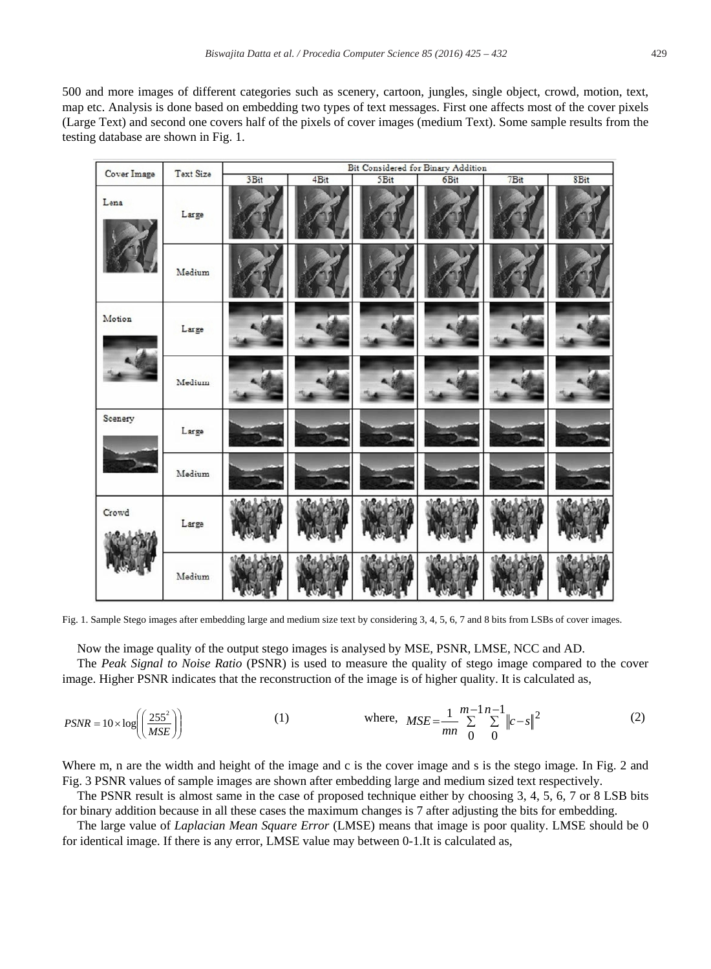500 and more images of different categories such as scenery, cartoon, jungles, single object, crowd, motion, text, map etc. Analysis is done based on embedding two types of text messages. First one affects most of the cover pixels (Large Text) and second one covers half of the pixels of cover images (medium Text). Some sample results from the testing database are shown in Fig. 1.

| Cover Image | <b>Text Size</b>                 | Bit Considered for Binary Addition |      |      |      |      |      |  |
|-------------|----------------------------------|------------------------------------|------|------|------|------|------|--|
|             |                                  | 3Bit                               | 4Bit | 5Bit | 6Bit | 7Bit | 8Bit |  |
| Lena        | Large                            |                                    |      |      |      |      |      |  |
|             | $M$ edium                        |                                    |      |      |      |      |      |  |
| Motion      | $_{\rm Large}$                   |                                    |      |      |      |      |      |  |
|             | $Median$                         |                                    |      |      |      |      |      |  |
| Scenery     | Large                            |                                    |      |      |      |      |      |  |
|             | $\operatorname{\mathsf{Median}}$ |                                    |      |      |      |      |      |  |
| Crowd       | Large                            |                                    |      |      |      |      |      |  |
|             | $M$ edium                        |                                    |      |      |      |      |      |  |

Fig. 1. Sample Stego images after embedding large and medium size text by considering 3, 4, 5, 6, 7 and 8 bits from LSBs of cover images.

Now the image quality of the output stego images is analysed by MSE, PSNR, LMSE, NCC and AD.

The *Peak Signal to Noise Ratio* (PSNR) is used to measure the quality of stego image compared to the cover image. Higher PSNR indicates that the reconstruction of the image is of higher quality. It is calculated as,

$$
PSNR = 10 \times \log \left( \left( \frac{255^2}{MSE} \right) \right) \tag{1}
$$
 where, 
$$
MSE = \frac{1}{mn} \sum_{n=0}^{m-1} \sum_{n=0}^{n-1} ||c - s||^2 \tag{2}
$$

Where m, n are the width and height of the image and c is the cover image and s is the stego image. In Fig. 2 and Fig. 3 PSNR values of sample images are shown after embedding large and medium sized text respectively.

The PSNR result is almost same in the case of proposed technique either by choosing 3, 4, 5, 6, 7 or 8 LSB bits for binary addition because in all these cases the maximum changes is 7 after adjusting the bits for embedding.

The large value of *Laplacian Mean Square Error* (LMSE) means that image is poor quality. LMSE should be 0 for identical image. If there is any error, LMSE value may between 0-1.It is calculated as,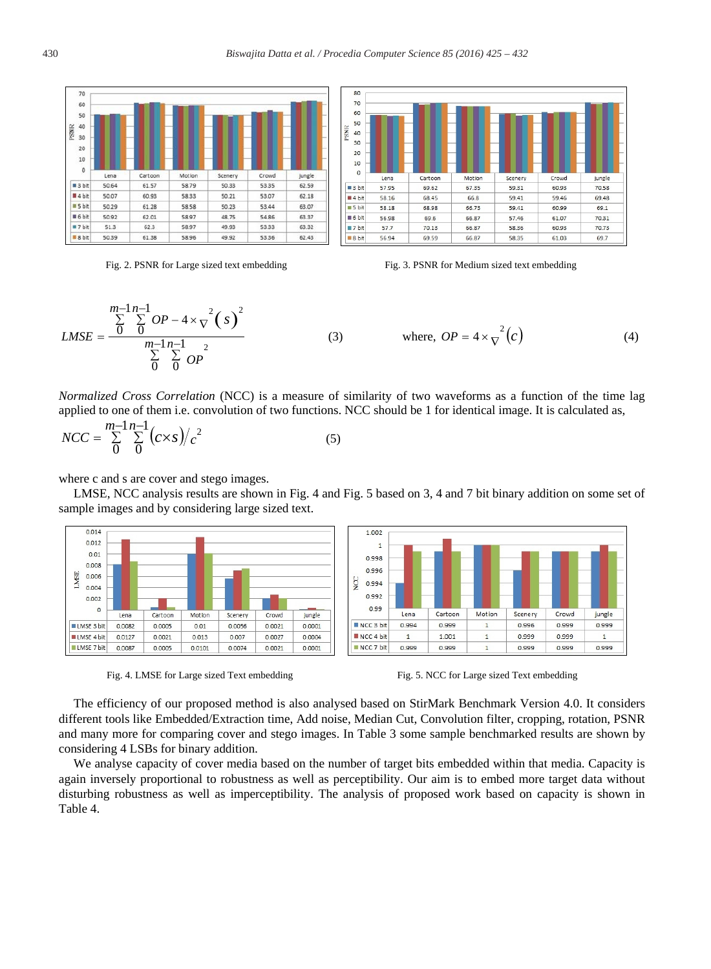



Fig. 2. PSNR for Large sized text embedding Fig. 3. PSNR for Medium sized text embedding

$$
LMSE = \frac{\sum_{0}^{m-1} \sum_{0}^{n-1} OP - 4 \times \sqrt{\sqrt{2} (s)^{2}}}{\sum_{0}^{m-1} \sum_{0}^{n-1} OP}
$$

(3) where, 
$$
OP = 4 \times \sqrt{2}(c)
$$
 (4)

*Normalized Cross Correlation* (NCC) is a measure of similarity of two waveforms as a function of the time lag applied to one of them i.e. convolution of two functions. NCC should be 1 for identical image. It is calculated as,

$$
NCC = \sum_{0}^{m-1} \sum_{0}^{n-1} (c \times s) / c^{2}
$$
 (5)

where c and s are cover and stego images.

LMSE, NCC analysis results are shown in Fig. 4 and Fig. 5 based on 3, 4 and 7 bit binary addition on some set of sample images and by considering large sized text.



Fig. 4. LMSE for Large sized Text embedding Fig. 5. NCC for Large sized Text embedding

The efficiency of our proposed method is also analysed based on StirMark Benchmark Version 4.0. It considers different tools like Embedded/Extraction time, Add noise, Median Cut, Convolution filter, cropping, rotation, PSNR and many more for comparing cover and stego images. In Table 3 some sample benchmarked results are shown by considering 4 LSBs for binary addition.

We analyse capacity of cover media based on the number of target bits embedded within that media. Capacity is again inversely proportional to robustness as well as perceptibility. Our aim is to embed more target data without disturbing robustness as well as imperceptibility. The analysis of proposed work based on capacity is shown in Table 4.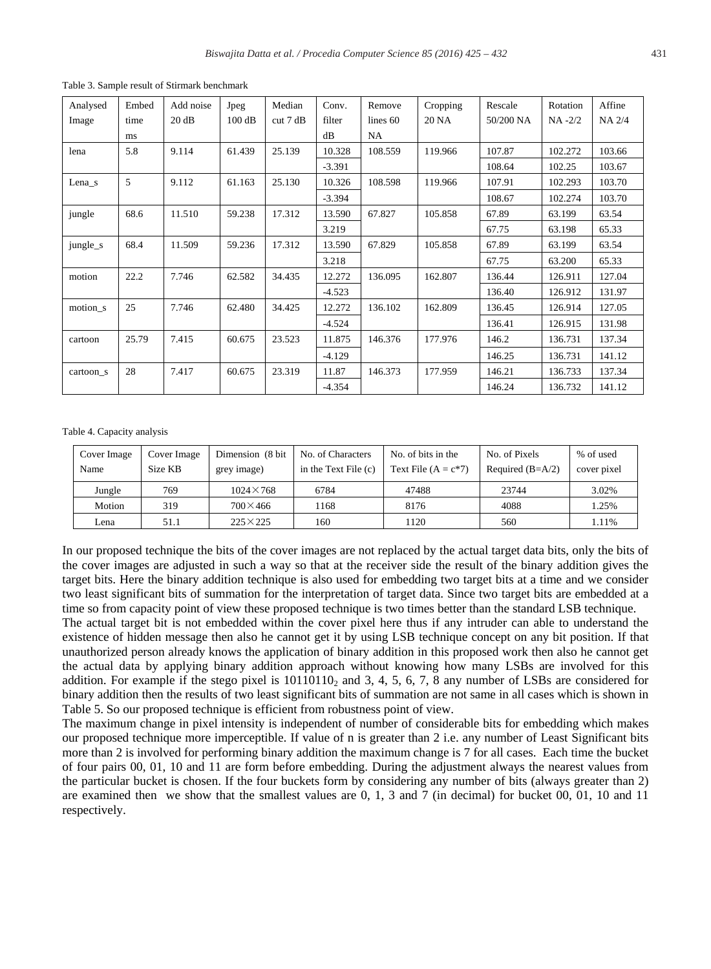| Analysed  | Embed | Add noise | Jpeg   | Median   | Conv.    | Remove   | Cropping | Rescale   | Rotation   | Affine |
|-----------|-------|-----------|--------|----------|----------|----------|----------|-----------|------------|--------|
| Image     | time  | 20 dB     | 100dB  | cut 7 dB | filter   | lines 60 | 20 NA    | 50/200 NA | $NA - 2/2$ | NA 2/4 |
|           | ms    |           |        |          | dB       | NA       |          |           |            |        |
| lena      | 5.8   | 9.114     | 61.439 | 25.139   | 10.328   | 108.559  | 119.966  | 107.87    | 102.272    | 103.66 |
|           |       |           |        |          | $-3.391$ |          |          | 108.64    | 102.25     | 103.67 |
| $Lena_s$  | 5     | 9.112     | 61.163 | 25.130   | 10.326   | 108.598  | 119.966  | 107.91    | 102.293    | 103.70 |
|           |       |           |        |          | $-3.394$ |          |          | 108.67    | 102.274    | 103.70 |
| jungle    | 68.6  | 11.510    | 59.238 | 17.312   | 13.590   | 67.827   | 105.858  | 67.89     | 63.199     | 63.54  |
|           |       |           |        |          | 3.219    |          |          | 67.75     | 63.198     | 65.33  |
| jungle_s  | 68.4  | 11.509    | 59.236 | 17.312   | 13.590   | 67.829   | 105.858  | 67.89     | 63.199     | 63.54  |
|           |       |           |        |          | 3.218    |          |          | 67.75     | 63.200     | 65.33  |
| motion    | 22.2  | 7.746     | 62.582 | 34.435   | 12.272   | 136.095  | 162.807  | 136.44    | 126.911    | 127.04 |
|           |       |           |        |          | $-4.523$ |          |          | 136.40    | 126.912    | 131.97 |
| motion s  | 25    | 7.746     | 62.480 | 34.425   | 12.272   | 136.102  | 162.809  | 136.45    | 126.914    | 127.05 |
|           |       |           |        |          | $-4.524$ |          |          | 136.41    | 126.915    | 131.98 |
| cartoon   | 25.79 | 7.415     | 60.675 | 23.523   | 11.875   | 146.376  | 177.976  | 146.2     | 136.731    | 137.34 |
|           |       |           |        |          | $-4.129$ |          |          | 146.25    | 136.731    | 141.12 |
| cartoon s | 28    | 7.417     | 60.675 | 23.319   | 11.87    | 146.373  | 177.959  | 146.21    | 136.733    | 137.34 |
|           |       |           |        |          | $-4.354$ |          |          | 146.24    | 136.732    | 141.12 |

Table 3. Sample result of Stirmark benchmark

Table 4. Capacity analysis

| Cover Image | Cover Image | Dimension (8 bit) | No. of Characters    | No. of bits in the    | No. of Pixels      | % of used   |
|-------------|-------------|-------------------|----------------------|-----------------------|--------------------|-------------|
| Name        | Size KB     | grey image)       | in the Text File (c) | Text File $(A = c*7)$ | Required $(B=A/2)$ | cover pixel |
| Jungle      | 769         | $1024 \times 768$ | 6784                 | 47488                 | 23744              | 3.02%       |
| Motion      | 319         | $700\times466$    | 168                  | 8176                  | 4088               | 1.25%       |
| Lena        | 51.1        | $225 \times 225$  | 160                  | 120                   | 560                | 1.11%       |

In our proposed technique the bits of the cover images are not replaced by the actual target data bits, only the bits of the cover images are adjusted in such a way so that at the receiver side the result of the binary addition gives the target bits. Here the binary addition technique is also used for embedding two target bits at a time and we consider two least significant bits of summation for the interpretation of target data. Since two target bits are embedded at a time so from capacity point of view these proposed technique is two times better than the standard LSB technique.

The actual target bit is not embedded within the cover pixel here thus if any intruder can able to understand the existence of hidden message then also he cannot get it by using LSB technique concept on any bit position. If that unauthorized person already knows the application of binary addition in this proposed work then also he cannot get the actual data by applying binary addition approach without knowing how many LSBs are involved for this addition. For example if the stego pixel is  $10110110_2$  and 3, 4, 5, 6, 7, 8 any number of LSBs are considered for binary addition then the results of two least significant bits of summation are not same in all cases which is shown in Table 5. So our proposed technique is efficient from robustness point of view.

The maximum change in pixel intensity is independent of number of considerable bits for embedding which makes our proposed technique more imperceptible. If value of n is greater than 2 i.e. any number of Least Significant bits more than 2 is involved for performing binary addition the maximum change is 7 for all cases. Each time the bucket of four pairs 00, 01, 10 and 11 are form before embedding. During the adjustment always the nearest values from the particular bucket is chosen. If the four buckets form by considering any number of bits (always greater than 2) are examined then we show that the smallest values are 0, 1, 3 and 7 (in decimal) for bucket 00, 01, 10 and 11 respectively.